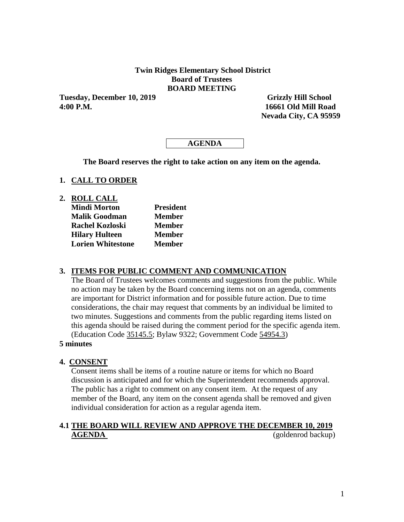### **Twin Ridges Elementary School District Board of Trustees BOARD MEETING**

**Tuesday, December 10, 2019 Grizzly Hill School 4:00 P.M. 16661 Old Mill Road** 

 **Nevada City, CA 95959**

## **AGENDA**

**The Board reserves the right to take action on any item on the agenda.**

#### **1. CALL TO ORDER**

**2. ROLL CALL**

| <b>Mindi Morton</b>      | <b>President</b> |  |  |  |
|--------------------------|------------------|--|--|--|
| <b>Malik Goodman</b>     | <b>Member</b>    |  |  |  |
| <b>Rachel Kozloski</b>   | <b>Member</b>    |  |  |  |
| <b>Hilary Hulteen</b>    | <b>Member</b>    |  |  |  |
| <b>Lorien Whitestone</b> | <b>Member</b>    |  |  |  |

### **3. ITEMS FOR PUBLIC COMMENT AND COMMUNICATION**

The Board of Trustees welcomes comments and suggestions from the public. While no action may be taken by the Board concerning items not on an agenda, comments are important for District information and for possible future action. Due to time considerations, the chair may request that comments by an individual be limited to two minutes. Suggestions and comments from the public regarding items listed on this agenda should be raised during the comment period for the specific agenda item. (Education Code 35145.5; Bylaw 9322; Government Code 54954.3)

#### **5 minutes**

### **4. CONSENT**

Consent items shall be items of a routine nature or items for which no Board discussion is anticipated and for which the Superintendent recommends approval. The public has a right to comment on any consent item. At the request of any member of the Board, any item on the consent agenda shall be removed and given individual consideration for action as a regular agenda item.

## **4.1 THE BOARD WILL REVIEW AND APPROVE THE DECEMBER 10, 2019 AGENDA** (goldenrod backup)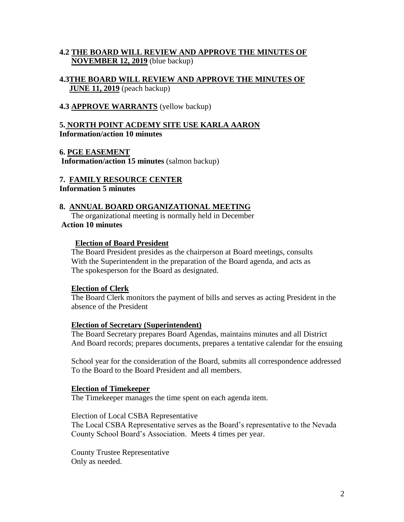## **4.2 THE BOARD WILL REVIEW AND APPROVE THE MINUTES OF NOVEMBER 12, 2019** (blue backup)

### **4.3THE BOARD WILL REVIEW AND APPROVE THE MINUTES OF JUNE 11, 2019** (peach backup)

### **4.3 APPROVE WARRANTS** (yellow backup)

## **5. NORTH POINT ACDEMY SITE USE KARLA AARON Information/action 10 minutes**

**6. PGE EASEMENT Information/action 15 minutes** (salmon backup)

**7. FAMILY RESOURCE CENTER Information 5 minutes** 

### **8. ANNUAL BOARD ORGANIZATIONAL MEETING**

The organizational meeting is normally held in December **Action 10 minutes**

### **Election of Board President**

The Board President presides as the chairperson at Board meetings, consults With the Superintendent in the preparation of the Board agenda, and acts as The spokesperson for the Board as designated.

### **Election of Clerk**

The Board Clerk monitors the payment of bills and serves as acting President in the absence of the President

### **Election of Secretary (Superintendent)**

The Board Secretary prepares Board Agendas, maintains minutes and all District And Board records; prepares documents, prepares a tentative calendar for the ensuing

School year for the consideration of the Board, submits all correspondence addressed To the Board to the Board President and all members.

### **Election of Timekeeper**

The Timekeeper manages the time spent on each agenda item.

### Election of Local CSBA Representative

The Local CSBA Representative serves as the Board's representative to the Nevada County School Board's Association. Meets 4 times per year.

County Trustee Representative Only as needed.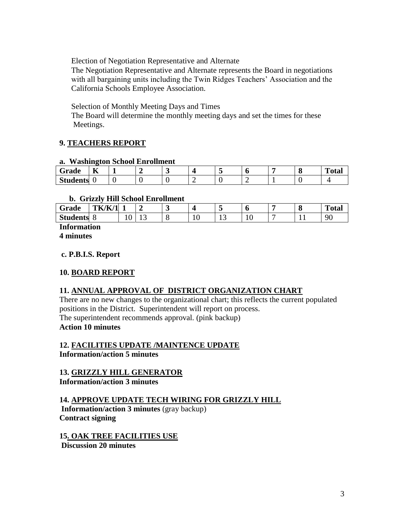Election of Negotiation Representative and Alternate

The Negotiation Representative and Alternate represents the Board in negotiations with all bargaining units including the Twin Ridges Teachers' Association and the California Schools Employee Association.

Selection of Monthly Meeting Days and Times

The Board will determine the monthly meeting days and set the times for these Meetings.

## **9. TEACHERS REPORT**

### **a. Washington School Enrollment**

| ∼<br>Grade      | $-$<br>n. |  |  | ш | $\sim$<br> | m<br>`otal |
|-----------------|-----------|--|--|---|------------|------------|
| <b>Students</b> |           |  |  |   |            |            |

## **b. Grizzly Hill School Enrollment**

| -<br>Grade      | 'K/K/1<br>--<br>К<br>--- |   |    |   |   |        | O      | $\sqrt{2}$<br>v | <b>Total</b> |
|-----------------|--------------------------|---|----|---|---|--------|--------|-----------------|--------------|
| <b>Students</b> |                          | ◡ | ⊥ື | ◡ | ◡ | $\sim$ | ╰<br>- |                 | ۹ſ<br>◡      |

**Information**

**4 minutes**

## **c. P.B.I.S. Report**

## **10. BOARD REPORT**

## **11. ANNUAL APPROVAL OF DISTRICT ORGANIZATION CHART**

There are no new changes to the organizational chart; this reflects the current populated positions in the District. Superintendent will report on process. The superintendent recommends approval. (pink backup) **Action 10 minutes**

# **12. FACILITIES UPDATE /MAINTENCE UPDATE**

**Information/action 5 minutes**

## **13. GRIZZLY HILL GENERATOR**

**Information/action 3 minutes**

## **14. APPROVE UPDATE TECH WIRING FOR GRIZZLY HILL**

**Information/action 3 minutes** (gray backup) **Contract signing** 

**15. OAK TREE FACILITIES USE Discussion 20 minutes**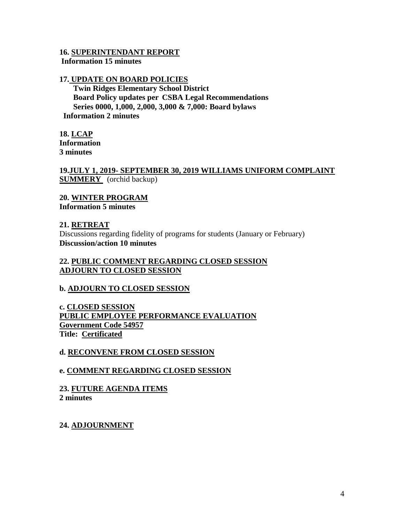#### **16. SUPERINTENDANT REPORT Information 15 minutes**

### **17. UPDATE ON BOARD POLICIES**

 **Twin Ridges Elementary School District Board Policy updates per CSBA Legal Recommendations Series 0000, 1,000, 2,000, 3,000 & 7,000: Board bylaws Information 2 minutes** 

**18. LCAP Information 3 minutes**

**19.JULY 1, 2019- SEPTEMBER 30, 2019 WILLIAMS UNIFORM COMPLAINT SUMMERY** (orchid backup)

**20. WINTER PROGRAM Information 5 minutes**

### **21. RETREAT**

Discussions regarding fidelity of programs for students (January or February) **Discussion/action 10 minutes**

## **22. PUBLIC COMMENT REGARDING CLOSED SESSION ADJOURN TO CLOSED SESSION**

## **b. ADJOURN TO CLOSED SESSION**

**c. CLOSED SESSION PUBLIC EMPLOYEE PERFORMANCE EVALUATION Government Code 54957 Title: Certificated**

## **d. RECONVENE FROM CLOSED SESSION**

## **e. COMMENT REGARDING CLOSED SESSION**

# **23. FUTURE AGENDA ITEMS**

**2 minutes**

## **24. ADJOURNMENT**